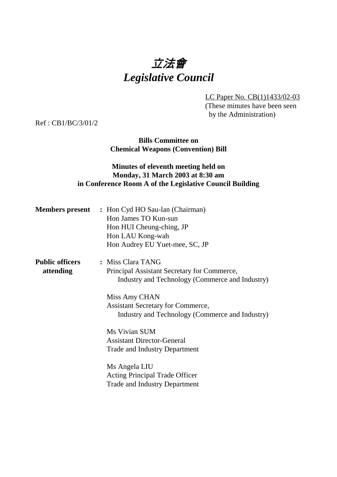# 立法會 *Legislative Council*

LC Paper No. CB(1)1433/02-03

(These minutes have been seen by the Administration)

Ref : CB1/BC/3/01/2

**Bills Committee on Chemical Weapons (Convention) Bill**

## **Minutes of eleventh meeting held on Monday, 31 March 2003 at 8:30 am in Conference Room A of the Legislative Council Building**

|                                     | <b>Members present</b> : Hon Cyd HO Sau-lan (Chairman)<br>Hon James TO Kun-sun<br>Hon HUI Cheung-ching, JP<br>Hon LAU Kong-wah<br>Hon Audrey EU Yuet-mee, SC, JP |
|-------------------------------------|------------------------------------------------------------------------------------------------------------------------------------------------------------------|
| <b>Public officers</b><br>attending | : Miss Clara TANG<br>Principal Assistant Secretary for Commerce,<br>Industry and Technology (Commerce and Industry)                                              |
|                                     | Miss Amy CHAN<br><b>Assistant Secretary for Commerce,</b><br>Industry and Technology (Commerce and Industry)                                                     |
|                                     | Ms Vivian SUM<br><b>Assistant Director-General</b><br><b>Trade and Industry Department</b>                                                                       |
|                                     | Ms Angela LIU<br><b>Acting Principal Trade Officer</b><br><b>Trade and Industry Department</b>                                                                   |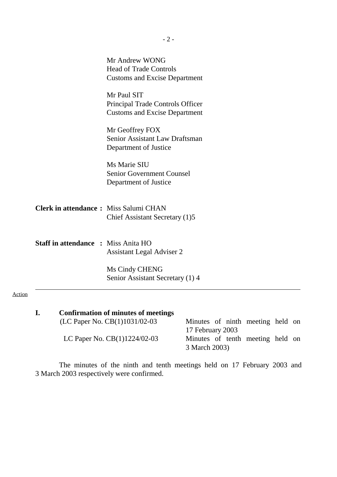|                                              | Mr Andrew WONG<br><b>Head of Trade Controls</b><br><b>Customs and Excise Department</b> |
|----------------------------------------------|-----------------------------------------------------------------------------------------|
|                                              | Mr Paul SIT<br>Principal Trade Controls Officer<br><b>Customs and Excise Department</b> |
|                                              | Mr Geoffrey FOX<br>Senior Assistant Law Draftsman<br>Department of Justice              |
|                                              | Ms Marie SIU<br><b>Senior Government Counsel</b><br>Department of Justice               |
| <b>Clerk in attendance:</b> Miss Salumi CHAN | Chief Assistant Secretary (1)5                                                          |
| <b>Staff in attendance : Miss Anita HO</b>   | <b>Assistant Legal Adviser 2</b>                                                        |
|                                              | Ms Cindy CHENG<br>Senior Assistant Secretary (1) 4                                      |
|                                              |                                                                                         |

| <b>Confirmation of minutes of meetings</b> |                                    |  |  |  |
|--------------------------------------------|------------------------------------|--|--|--|
| (LC Paper No. $CB(1)1031/02-03$            | — Minutes of ninth meeting held on |  |  |  |
|                                            | 17 February 2003                   |  |  |  |
| LC Paper No. $CB(1)1224/02-03$             | — Minutes of tenth meeting held on |  |  |  |
|                                            | 3 March 2003)                      |  |  |  |

Action

The minutes of the ninth and tenth meetings held on 17 February 2003 and 3 March 2003 respectively were confirmed.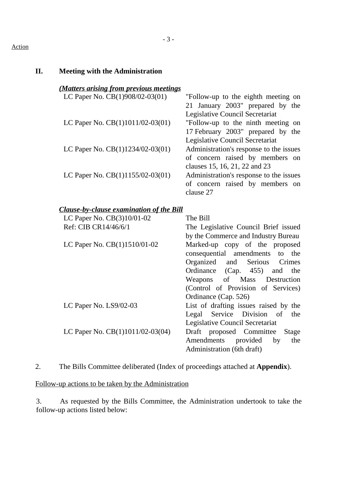#### Action

| II. | <b>Meeting with the Administration</b>                                         |                                                                                                                                                                                                                                                           |
|-----|--------------------------------------------------------------------------------|-----------------------------------------------------------------------------------------------------------------------------------------------------------------------------------------------------------------------------------------------------------|
|     | (Matters arising from previous meetings<br>LC Paper No. $CB(1)908/02-03(01)$ — | "Follow-up to the eighth meeting on<br>21 January 2003" prepared by the                                                                                                                                                                                   |
|     | LC Paper No. $CB(1)1011/02-03(01)$ —                                           | Legislative Council Secretariat<br>"Follow-up to the ninth meeting on<br>17 February 2003" prepared by the<br>Legislative Council Secretariat                                                                                                             |
|     | LC Paper No. $CB(1)1234/02-03(01)$ —                                           | Administration's response to the issues<br>of concern raised by members on<br>clauses 15, 16, 21, 22 and 23                                                                                                                                               |
|     | LC Paper No. $CB(1)1155/02-03(01)$ —                                           | Administration's response to the issues<br>of concern raised by members on<br>clause 27                                                                                                                                                                   |
|     | <b>Clause-by-clause examination of the Bill</b>                                |                                                                                                                                                                                                                                                           |
|     | LC Paper No. CB(3)10/01-02                                                     | The Bill                                                                                                                                                                                                                                                  |
|     | Ref: CIB CR14/46/6/1                                                           | The Legislative Council Brief issued                                                                                                                                                                                                                      |
|     |                                                                                | by the Commerce and Industry Bureau                                                                                                                                                                                                                       |
|     | LC Paper No. CB(1)1510/01-02                                                   | Marked-up copy of the proposed<br>consequential amendments to<br>the<br>Organized and<br>Serious<br>Crimes<br>Ordinance<br>(Cap. 455)<br>the<br>and<br>Mass<br>Weapons<br>of<br>Destruction<br>(Control of Provision of Services)<br>Ordinance (Cap. 526) |
|     | LC Paper No. LS9/02-03                                                         | List of drafting issues raised by the<br>Service<br>Legal<br>Division<br>of<br>the<br>Legislative Council Secretariat                                                                                                                                     |
|     | LC Paper No. $CB(1)1011/02-03(04)$ —                                           | Draft proposed Committee<br><b>Stage</b><br>Amendments<br>provided<br>the<br>by<br>Administration (6th draft)                                                                                                                                             |

2. The Bills Committee deliberated (Index of proceedings attached at **Appendix**).

Follow-up actions to be taken by the Administration

3. As requested by the Bills Committee, the Administration undertook to take the follow-up actions listed below: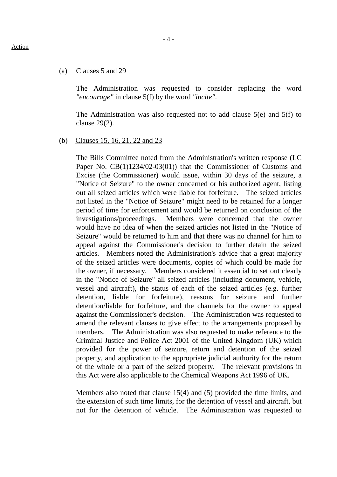#### (a) Clauses 5 and 29

The Administration was requested to consider replacing the word *"encourage"* in clause 5(f) by the word *"incite"*.

The Administration was also requested not to add clause 5(e) and 5(f) to clause 29(2).

#### (b) Clauses 15, 16, 21, 22 and 23

The Bills Committee noted from the Administration's written response (LC Paper No. CB(1)1234/02-03(01)) that the Commissioner of Customs and Excise (the Commissioner) would issue, within 30 days of the seizure, a "Notice of Seizure" to the owner concerned or his authorized agent, listing out all seized articles which were liable for forfeiture. The seized articles not listed in the "Notice of Seizure" might need to be retained for a longer period of time for enforcement and would be returned on conclusion of the investigations/proceedings. Members were concerned that the owner would have no idea of when the seized articles not listed in the "Notice of Seizure" would be returned to him and that there was no channel for him to appeal against the Commissioner's decision to further detain the seized articles. Members noted the Administration's advice that a great majority of the seized articles were documents, copies of which could be made for the owner, if necessary. Members considered it essential to set out clearly in the "Notice of Seizure" all seized articles (including document, vehicle, vessel and aircraft), the status of each of the seized articles (e.g. further detention, liable for forfeiture), reasons for seizure and further detention/liable for forfeiture, and the channels for the owner to appeal against the Commissioner's decision. The Administration was requested to amend the relevant clauses to give effect to the arrangements proposed by members. The Administration was also requested to make reference to the Criminal Justice and Police Act 2001 of the United Kingdom (UK) which provided for the power of seizure, return and detention of the seized property, and application to the appropriate judicial authority for the return of the whole or a part of the seized property. The relevant provisions in this Act were also applicable to the Chemical Weapons Act 1996 of UK.

Members also noted that clause 15(4) and (5) provided the time limits, and the extension of such time limits, for the detention of vessel and aircraft, but not for the detention of vehicle. The Administration was requested to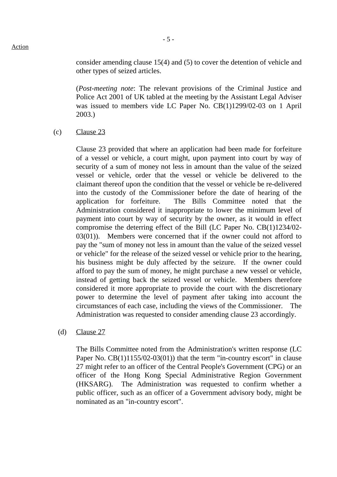consider amending clause 15(4) and (5) to cover the detention of vehicle and other types of seized articles.

(*Post-meeting note*: The relevant provisions of the Criminal Justice and Police Act 2001 of UK tabled at the meeting by the Assistant Legal Adviser was issued to members vide LC Paper No. CB(1)1299/02-03 on 1 April 2003.)

(c) Clause 23

Clause 23 provided that where an application had been made for forfeiture of a vessel or vehicle, a court might, upon payment into court by way of security of a sum of money not less in amount than the value of the seized vessel or vehicle, order that the vessel or vehicle be delivered to the claimant thereof upon the condition that the vessel or vehicle be re-delivered into the custody of the Commissioner before the date of hearing of the application for forfeiture. The Bills Committee noted that the Administration considered it inappropriate to lower the minimum level of payment into court by way of security by the owner, as it would in effect compromise the deterring effect of the Bill (LC Paper No. CB(1)1234/02- 03(01)). Members were concerned that if the owner could not afford to pay the "sum of money not less in amount than the value of the seized vessel or vehicle" for the release of the seized vessel or vehicle prior to the hearing, his business might be duly affected by the seizure. If the owner could afford to pay the sum of money, he might purchase a new vessel or vehicle, instead of getting back the seized vessel or vehicle. Members therefore considered it more appropriate to provide the court with the discretionary power to determine the level of payment after taking into account the circumstances of each case, including the views of the Commissioner. The Administration was requested to consider amending clause 23 accordingly.

(d) Clause 27

The Bills Committee noted from the Administration's written response (LC Paper No.  $CB(1)1155/02-03(01)$  that the term "in-country escort" in clause 27 might refer to an officer of the Central People's Government (CPG) or an officer of the Hong Kong Special Administrative Region Government (HKSARG). The Administration was requested to confirm whether a public officer, such as an officer of a Government advisory body, might be nominated as an "in-country escort".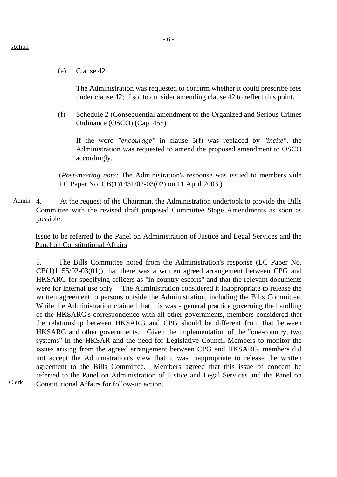(e) Clause 42

The Administration was requested to confirm whether it could prescribe fees under clause 42; if so, to consider amending clause 42 to reflect this point.

(f) Schedule 2 (Consequential amendment to the Organized and Serious Crimes Ordinance (OSCO) (Cap. 455)

If the word *"encourage"* in clause 5(f) was replaced by *"incite"*, the Administration was requested to amend the proposed amendment to OSCO accordingly.

(*Post-meeting note:* The Administration's response was issued to members vide LC Paper No. CB(1)1431/02-03(02) on 11 April 2003.)

Admin 4. At the request of the Chairman, the Administration undertook to provide the Bills Committee with the revised draft proposed Committee Stage Amendments as soon as possible.

Issue to be referred to the Panel on Administration of Justice and Legal Services and the Panel on Constitutional Affairs

5. The Bills Committee noted from the Administration's response (LC Paper No.  $CB(1)1155/02-03(01)$  that there was a written agreed arrangement between CPG and HKSARG for specifying officers as "in-country escorts" and that the relevant documents were for internal use only. The Administration considered it inappropriate to release the written agreement to persons outside the Administration, including the Bills Committee. While the Administration claimed that this was a general practice governing the handling of the HKSARG's correspondence with all other governments, members considered that the relationship between HKSARG and CPG should be different from that between HKSARG and other governments. Given the implementation of the "one-country, two systems" in the HKSAR and the need for Legislative Council Members to monitor the issues arising from the agreed arrangement between CPG and HKSARG, members did not accept the Administration's view that it was inappropriate to release the written agreement to the Bills Committee. Members agreed that this issue of concern be referred to the Panel on Administration of Justice and Legal Services and the Panel on Constitutional Affairs for follow-up action.

Action

Clerk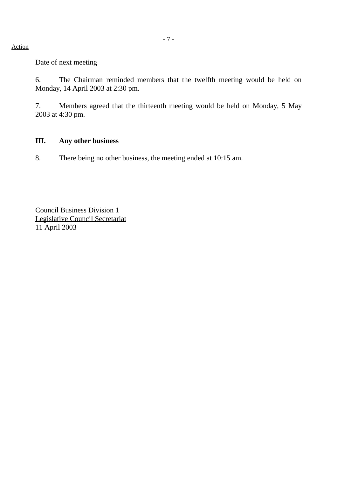Action

Date of next meeting

6. The Chairman reminded members that the twelfth meeting would be held on Monday, 14 April 2003 at 2:30 pm.

7. Members agreed that the thirteenth meeting would be held on Monday, 5 May 2003 at 4:30 pm.

### **III. Any other business**

8. There being no other business, the meeting ended at 10:15 am.

Council Business Division 1 Legislative Council Secretariat 11 April 2003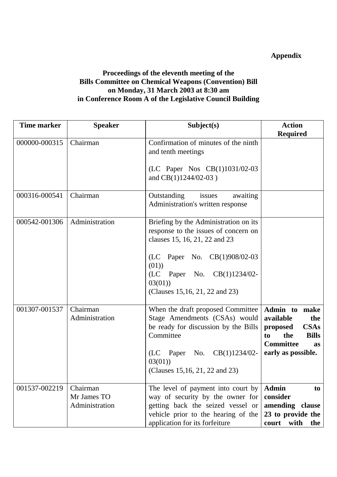# **Appendix**

# **Proceedings of the eleventh meeting of the Bills Committee on Chemical Weapons (Convention) Bill on Monday, 31 March 2003 at 8:30 am in Conference Room A of the Legislative Council Building**

| <b>Time marker</b> | <b>Speaker</b>                            | Subject(s)                                                                                                                                                                                                                            | <b>Action</b>                                                                                                                                    |
|--------------------|-------------------------------------------|---------------------------------------------------------------------------------------------------------------------------------------------------------------------------------------------------------------------------------------|--------------------------------------------------------------------------------------------------------------------------------------------------|
|                    |                                           |                                                                                                                                                                                                                                       | <b>Required</b>                                                                                                                                  |
| 000000-000315      | Chairman                                  | Confirmation of minutes of the ninth<br>and tenth meetings<br>(LC Paper Nos CB(1)1031/02-03<br>and $CB(1)1244/02-03$ )                                                                                                                |                                                                                                                                                  |
|                    |                                           |                                                                                                                                                                                                                                       |                                                                                                                                                  |
| 000316-000541      | Chairman                                  | issues<br>awaiting<br>Outstanding<br>Administration's written response                                                                                                                                                                |                                                                                                                                                  |
| 000542-001306      | Administration                            | Briefing by the Administration on its<br>response to the issues of concern on<br>clauses 15, 16, 21, 22 and 23<br>(LC Paper No. CB(1)908/02-03<br>(01)<br>(LC)<br>Paper No. CB(1)1234/02-<br>03(01)<br>(Clauses 15,16, 21, 22 and 23) |                                                                                                                                                  |
| 001307-001537      | Chairman<br>Administration                | When the draft proposed Committee<br>Stage Amendments (CSAs) would<br>be ready for discussion by the Bills<br>Committee<br>(LC Paper No. $CB(1)1234/02$ -<br>03(01)<br>(Clauses 15, 16, 21, 22 and 23)                                | Admin to make<br>available<br>the<br><b>CSAs</b><br>proposed<br>the<br><b>Bills</b><br>to<br><b>Committee</b><br><b>as</b><br>early as possible. |
| 001537-002219      | Chairman<br>Mr James TO<br>Administration | The level of payment into court by<br>way of security by the owner for<br>getting back the seized vessel or<br>vehicle prior to the hearing of the<br>application for its forfeiture                                                  | <b>Admin</b><br>to<br>consider<br>amending clause<br>23 to provide the<br>court<br>with<br>the                                                   |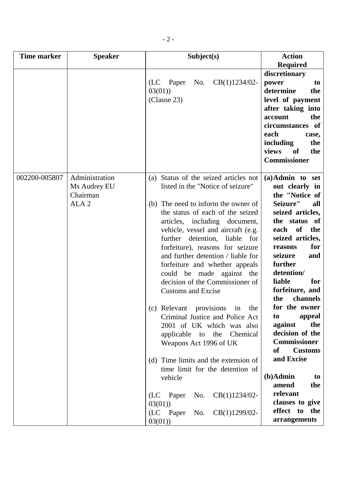| <b>Time marker</b> | <b>Speaker</b>                                                 | Subject(s)                                                                                                                                                                                                                                                                                                                                                                                                                                                                                                                                                                                                                                                                                                                                                                                                        | <b>Action</b>                                                                                                                                                                                                                                                                                                                                                                                                                                                                                                              |
|--------------------|----------------------------------------------------------------|-------------------------------------------------------------------------------------------------------------------------------------------------------------------------------------------------------------------------------------------------------------------------------------------------------------------------------------------------------------------------------------------------------------------------------------------------------------------------------------------------------------------------------------------------------------------------------------------------------------------------------------------------------------------------------------------------------------------------------------------------------------------------------------------------------------------|----------------------------------------------------------------------------------------------------------------------------------------------------------------------------------------------------------------------------------------------------------------------------------------------------------------------------------------------------------------------------------------------------------------------------------------------------------------------------------------------------------------------------|
|                    |                                                                | $CB(1)1234/02-$<br>No.<br>(LC Paper<br>03(01)<br>(Clause 23)                                                                                                                                                                                                                                                                                                                                                                                                                                                                                                                                                                                                                                                                                                                                                      | <b>Required</b><br>discretionary<br>power<br>to<br>determine<br>the<br>level of payment<br>after taking into<br>the<br>account<br>circumstances of<br>each<br>case,<br>including<br>the<br>views<br>of<br>the<br><b>Commissioner</b>                                                                                                                                                                                                                                                                                       |
| 002200-005807      | Administration<br>Ms Audrey EU<br>Chairman<br>ALA <sub>2</sub> | (a) Status of the seized articles not<br>listed in the "Notice of seizure"<br>(b) The need to inform the owner of<br>the status of each of the seized<br>articles, including document,<br>vehicle, vessel and aircraft (e.g.<br>further detention, liable for<br>forfeiture), reasons for seizure<br>and further detention / liable for<br>forfeiture and whether appeals<br>could be made against the<br>decision of the Commissioner of<br><b>Customs and Excise</b><br>(c) Relevant provisions in<br>the<br>Criminal Justice and Police Act<br>2001 of UK which was also<br>applicable to the Chemical<br>Weapons Act 1996 of UK<br>(d) Time limits and the extension of<br>time limit for the detention of<br>vehicle<br>No. $CB(1)1234/02$ -<br>(LC Paper<br>03(01)<br>(LC Paper No. CB(1)1299/02-<br>03(01) | $(a)$ Admin to set<br>out clearly in<br>the "Notice of<br>Seizure"<br>all<br>seized articles,<br>the status of<br>of<br>each<br>the<br>seized articles,<br>for<br>reasons<br>seizure<br>and<br>further<br>detention/<br>liable<br>for<br>forfeiture, and<br>the<br>channels<br>for the owner<br>appeal<br>to<br>against<br>the<br>decision of the<br><b>Commissioner</b><br><b>Customs</b><br><b>of</b><br>and Excise<br>$(b)$ Admin<br>to<br>amend<br>the<br>relevant<br>clauses to give<br>effect to the<br>arrangements |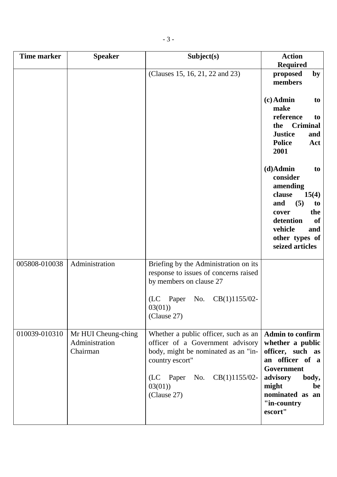| <b>Time marker</b> | <b>Speaker</b>                                    | Subject(s)                                                                                                                                                                                           | <b>Action</b><br><b>Required</b>                                                                                                                                                  |
|--------------------|---------------------------------------------------|------------------------------------------------------------------------------------------------------------------------------------------------------------------------------------------------------|-----------------------------------------------------------------------------------------------------------------------------------------------------------------------------------|
|                    |                                                   | (Clauses 15, 16, 21, 22 and 23)                                                                                                                                                                      | proposed<br>by<br>members                                                                                                                                                         |
|                    |                                                   |                                                                                                                                                                                                      | $(c)$ Admin<br>to<br>make<br>reference<br>to<br><b>Criminal</b><br>the<br><b>Justice</b><br>and<br><b>Police</b><br>Act<br>2001                                                   |
|                    |                                                   |                                                                                                                                                                                                      | $(d)$ Admin<br>to<br>consider<br>amending<br>clause<br>15(4)<br>(5)<br>and<br>to<br>the<br>cover<br>detention<br><b>of</b><br>vehicle<br>and<br>other types of<br>seized articles |
| 005808-010038      | Administration                                    | Briefing by the Administration on its<br>response to issues of concerns raised<br>by members on clause 27<br>(LC)<br>CB(1)1155/02-<br>No.<br>Paper<br>03(01)<br>(Clause 27)                          |                                                                                                                                                                                   |
| 010039-010310      | Mr HUI Cheung-ching<br>Administration<br>Chairman | Whether a public officer, such as an<br>officer of a Government advisory<br>body, might be nominated as an "in-<br>country escort"<br>No. $CB(1)1155/02$ -<br>(LC)<br>Paper<br>03(01)<br>(Clause 27) | <b>Admin to confirm</b><br>whether a public<br>officer, such as<br>an officer of a<br>Government<br>advisory<br>body,<br>might<br>be<br>nominated as an<br>"in-country<br>escort" |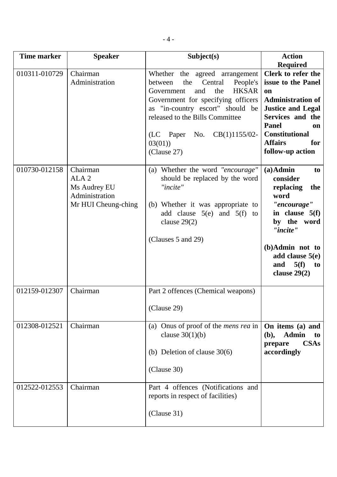| <b>Time marker</b> | <b>Speaker</b>                                                                        | Subject(s)                                                                                                                                                                                                                                                                                        | <b>Action</b><br><b>Required</b>                                                                                                                                                                                |
|--------------------|---------------------------------------------------------------------------------------|---------------------------------------------------------------------------------------------------------------------------------------------------------------------------------------------------------------------------------------------------------------------------------------------------|-----------------------------------------------------------------------------------------------------------------------------------------------------------------------------------------------------------------|
| 010311-010729      | Chairman<br>Administration                                                            | Whether<br>the agreed arrangement<br>Central<br>People's<br>the<br>between<br><b>HKSAR</b><br>and<br>the<br>Government<br>Government for specifying officers<br>as "in-country escort" should be<br>released to the Bills Committee<br>CB(1)1155/02-<br>(LC Paper<br>No.<br>03(01)<br>(Clause 27) | Clerk to refer the<br>issue to the Panel<br>on<br><b>Administration of</b><br><b>Justice and Legal</b><br>Services and the<br>Panel<br>on<br><b>Constitutional</b><br><b>Affairs</b><br>for<br>follow-up action |
| 010730-012158      | Chairman<br>ALA <sub>2</sub><br>Ms Audrey EU<br>Administration<br>Mr HUI Cheung-ching | (a) Whether the word "encourage"<br>should be replaced by the word<br>"incite"<br>(b) Whether it was appropriate to<br>add clause $5(e)$ and $5(f)$ to<br>clause $29(2)$<br>(Clauses 5 and 29)                                                                                                    | $(a)$ Admin<br>to<br>consider<br>replacing<br>the<br>word<br>"encourage"<br>in clause $5(f)$<br>by the word<br>"incite"<br>(b)Admin not to<br>add clause $5(e)$<br>5(f)<br>and<br>to<br>clause $29(2)$          |
| 012159-012307      | Chairman                                                                              | Part 2 offences (Chemical weapons)<br>(Clause 29)                                                                                                                                                                                                                                                 |                                                                                                                                                                                                                 |
| 012308-012521      | Chairman                                                                              | (a) Onus of proof of the <i>mens rea</i> in<br>clause $30(1)(b)$<br>(b) Deletion of clause $30(6)$<br>(Clause 30)                                                                                                                                                                                 | On items (a) and<br><b>Admin</b><br>(b),<br>to<br><b>CSAs</b><br>prepare<br>accordingly                                                                                                                         |
| 012522-012553      | Chairman                                                                              | Part 4 offences (Notifications and<br>reports in respect of facilities)<br>(Clause 31)                                                                                                                                                                                                            |                                                                                                                                                                                                                 |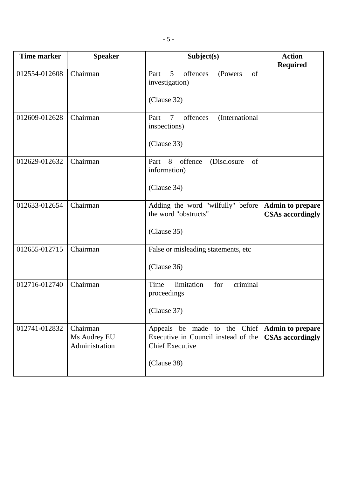| <b>Time marker</b> | <b>Speaker</b>                             | Subject(s)                                                                                                   | <b>Action</b><br><b>Required</b>                   |
|--------------------|--------------------------------------------|--------------------------------------------------------------------------------------------------------------|----------------------------------------------------|
| 012554-012608      | Chairman                                   | $\mathfrak{S}$<br>of<br>offences<br>Part<br>(Powers<br>investigation)<br>(Clause 32)                         |                                                    |
| 012609-012628      | Chairman                                   | $\tau$<br>offences<br>(International<br>Part<br>inspections)<br>(Clause 33)                                  |                                                    |
| 012629-012632      | Chairman                                   | Part<br>8 offence<br>(Disclosure<br>of<br>information)<br>(Clause 34)                                        |                                                    |
| 012633-012654      | Chairman                                   | Adding the word "wilfully" before<br>the word "obstructs"<br>(Clause 35)                                     | <b>Admin to prepare</b><br><b>CSAs accordingly</b> |
| 012655-012715      | Chairman                                   | False or misleading statements, etc.<br>(Clause 36)                                                          |                                                    |
| 012716-012740      | Chairman                                   | criminal<br>Time<br>limitation<br>for<br>proceedings<br>(Clause 37)                                          |                                                    |
| 012741-012832      | Chairman<br>Ms Audrey EU<br>Administration | Appeals be made to the Chief<br>Executive in Council instead of the<br><b>Chief Executive</b><br>(Clause 38) | <b>Admin to prepare</b><br><b>CSAs accordingly</b> |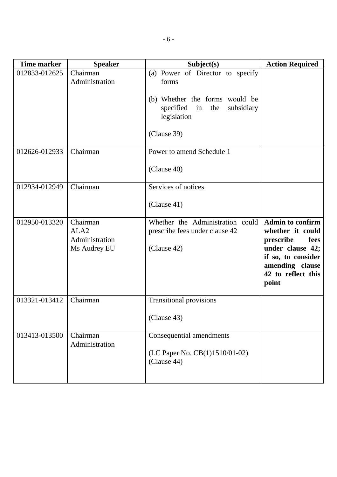| <b>Time marker</b> | <b>Speaker</b>                                                 | Subject(s)                                                                                                                                     | <b>Action Required</b>                                                                                                                                       |
|--------------------|----------------------------------------------------------------|------------------------------------------------------------------------------------------------------------------------------------------------|--------------------------------------------------------------------------------------------------------------------------------------------------------------|
| 012833-012625      | Chairman<br>Administration                                     | (a) Power of Director to specify<br>forms<br>(b) Whether the forms would be<br>specified in<br>the<br>subsidiary<br>legislation<br>(Clause 39) |                                                                                                                                                              |
| 012626-012933      | Chairman                                                       | Power to amend Schedule 1<br>(Clause 40)                                                                                                       |                                                                                                                                                              |
| 012934-012949      | Chairman                                                       | Services of notices<br>(Clause 41)                                                                                                             |                                                                                                                                                              |
| 012950-013320      | Chairman<br>ALA <sub>2</sub><br>Administration<br>Ms Audrey EU | Whether the Administration could<br>prescribe fees under clause 42<br>(Clause 42)                                                              | <b>Admin to confirm</b><br>whether it could<br>fees<br>prescribe<br>under clause 42;<br>if so, to consider<br>amending clause<br>42 to reflect this<br>point |
| 013321-013412      | Chairman                                                       | <b>Transitional provisions</b><br>(Clause 43)                                                                                                  |                                                                                                                                                              |
| 013413-013500      | Chairman<br>Administration                                     | Consequential amendments<br>(LC Paper No. CB(1)1510/01-02)<br>(Clause 44)                                                                      |                                                                                                                                                              |